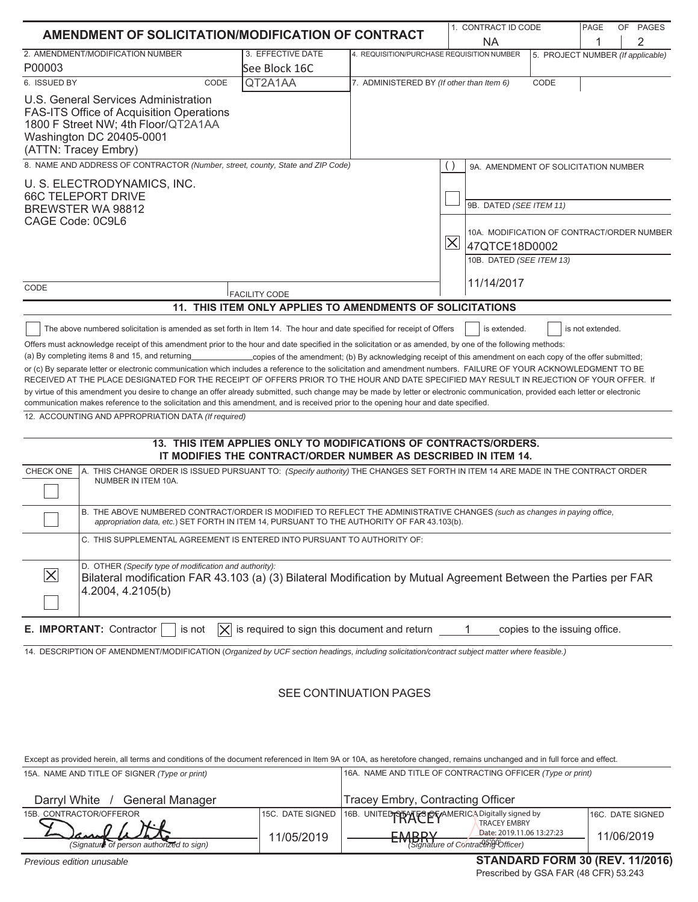| AMENDMENT OF SOLICITATION/MODIFICATION OF CONTRACT                                                                                                                                                                                                                                                                                                                                                                                                                                                                                                                                                                                                                                                                                                                                                                                                                                                                                                                                                                                                                                                                                                                                                                                                                                                                                                                                                                                                                  |                                                                                                                                    |                                           | 1. CONTRACT ID CODE                                                                                                                       |                               | PAGE             | OF PAGES |
|---------------------------------------------------------------------------------------------------------------------------------------------------------------------------------------------------------------------------------------------------------------------------------------------------------------------------------------------------------------------------------------------------------------------------------------------------------------------------------------------------------------------------------------------------------------------------------------------------------------------------------------------------------------------------------------------------------------------------------------------------------------------------------------------------------------------------------------------------------------------------------------------------------------------------------------------------------------------------------------------------------------------------------------------------------------------------------------------------------------------------------------------------------------------------------------------------------------------------------------------------------------------------------------------------------------------------------------------------------------------------------------------------------------------------------------------------------------------|------------------------------------------------------------------------------------------------------------------------------------|-------------------------------------------|-------------------------------------------------------------------------------------------------------------------------------------------|-------------------------------|------------------|----------|
|                                                                                                                                                                                                                                                                                                                                                                                                                                                                                                                                                                                                                                                                                                                                                                                                                                                                                                                                                                                                                                                                                                                                                                                                                                                                                                                                                                                                                                                                     |                                                                                                                                    |                                           | <b>NA</b><br>1                                                                                                                            |                               | 2                |          |
| 2. AMENDMENT/MODIFICATION NUMBER<br>P00003                                                                                                                                                                                                                                                                                                                                                                                                                                                                                                                                                                                                                                                                                                                                                                                                                                                                                                                                                                                                                                                                                                                                                                                                                                                                                                                                                                                                                          | 3. EFFECTIVE DATE<br>See Block 16C                                                                                                 |                                           | 4. REQUISITION/PURCHASE REQUISITION NUMBER<br>5. PROJECT NUMBER (If applicable)                                                           |                               |                  |          |
| 6. ISSUED BY<br>CODE                                                                                                                                                                                                                                                                                                                                                                                                                                                                                                                                                                                                                                                                                                                                                                                                                                                                                                                                                                                                                                                                                                                                                                                                                                                                                                                                                                                                                                                | QT2A1AA                                                                                                                            | 7. ADMINISTERED BY (If other than Item 6) |                                                                                                                                           | CODE                          |                  |          |
| U.S. General Services Administration<br><b>FAS-ITS Office of Acquisition Operations</b><br>1800 F Street NW; 4th Floor/QT2A1AA<br>Washington DC 20405-0001<br>(ATTN: Tracey Embry)                                                                                                                                                                                                                                                                                                                                                                                                                                                                                                                                                                                                                                                                                                                                                                                                                                                                                                                                                                                                                                                                                                                                                                                                                                                                                  |                                                                                                                                    |                                           |                                                                                                                                           |                               |                  |          |
| 8. NAME AND ADDRESS OF CONTRACTOR (Number, street, county, State and ZIP Code)                                                                                                                                                                                                                                                                                                                                                                                                                                                                                                                                                                                                                                                                                                                                                                                                                                                                                                                                                                                                                                                                                                                                                                                                                                                                                                                                                                                      |                                                                                                                                    |                                           | 9A. AMENDMENT OF SOLICITATION NUMBER                                                                                                      |                               |                  |          |
| U. S. ELECTRODYNAMICS, INC.<br><b>66C TELEPORT DRIVE</b><br>BREWSTER WA 98812<br>CAGE Code: 0C9L6                                                                                                                                                                                                                                                                                                                                                                                                                                                                                                                                                                                                                                                                                                                                                                                                                                                                                                                                                                                                                                                                                                                                                                                                                                                                                                                                                                   |                                                                                                                                    |                                           | 9B. DATED (SEE ITEM 11)<br>10A. MODIFICATION OF CONTRACT/ORDER NUMBER<br>$\overline{\times}$<br>47QTCE18D0002<br>10B. DATED (SEE ITEM 13) |                               |                  |          |
| CODE                                                                                                                                                                                                                                                                                                                                                                                                                                                                                                                                                                                                                                                                                                                                                                                                                                                                                                                                                                                                                                                                                                                                                                                                                                                                                                                                                                                                                                                                |                                                                                                                                    |                                           | 11/14/2017                                                                                                                                |                               |                  |          |
|                                                                                                                                                                                                                                                                                                                                                                                                                                                                                                                                                                                                                                                                                                                                                                                                                                                                                                                                                                                                                                                                                                                                                                                                                                                                                                                                                                                                                                                                     | <b>FACILITY CODE</b><br>11. THIS ITEM ONLY APPLIES TO AMENDMENTS OF SOLICITATIONS                                                  |                                           |                                                                                                                                           |                               |                  |          |
| The above numbered solicitation is amended as set forth in Item 14. The hour and date specified for receipt of Offers<br>Offers must acknowledge receipt of this amendment prior to the hour and date specified in the solicitation or as amended, by one of the following methods:<br>or (c) By separate letter or electronic communication which includes a reference to the solicitation and amendment numbers. FAILURE OF YOUR ACKNOWLEDGMENT TO BE<br>RECEIVED AT THE PLACE DESIGNATED FOR THE RECEIPT OF OFFERS PRIOR TO THE HOUR AND DATE SPECIFIED MAY RESULT IN REJECTION OF YOUR OFFER. If<br>by virtue of this amendment you desire to change an offer already submitted, such change may be made by letter or electronic communication, provided each letter or electronic<br>communication makes reference to the solicitation and this amendment, and is received prior to the opening hour and date specified.<br>12. ACCOUNTING AND APPROPRIATION DATA (If required)<br>A. THIS CHANGE ORDER IS ISSUED PURSUANT TO: (Specify authority) THE CHANGES SET FORTH IN ITEM 14 ARE MADE IN THE CONTRACT ORDER<br>CHECK ONE<br>NUMBER IN ITEM 10A.<br>B. THE ABOVE NUMBERED CONTRACT/ORDER IS MODIFIED TO REFLECT THE ADMINISTRATIVE CHANGES (such as changes in paying office,<br>appropriation data, etc.) SET FORTH IN ITEM 14, PURSUANT TO THE AUTHORITY OF FAR 43.103(b).<br>C. THIS SUPPLEMENTAL AGREEMENT IS ENTERED INTO PURSUANT TO AUTHORITY OF: | 13. THIS ITEM APPLIES ONLY TO MODIFICATIONS OF CONTRACTS/ORDERS.<br>IT MODIFIES THE CONTRACT/ORDER NUMBER AS DESCRIBED IN ITEM 14. |                                           | is extended.                                                                                                                              |                               | is not extended. |          |
| D. OTHER (Specify type of modification and authority):<br>$ \times$<br>Bilateral modification FAR 43.103 (a) (3) Bilateral Modification by Mutual Agreement Between the Parties per FAR<br>4.2004, 4.2105(b)                                                                                                                                                                                                                                                                                                                                                                                                                                                                                                                                                                                                                                                                                                                                                                                                                                                                                                                                                                                                                                                                                                                                                                                                                                                        |                                                                                                                                    |                                           |                                                                                                                                           |                               |                  |          |
| E. IMPORTANT: Contractor<br>is not<br>IХ                                                                                                                                                                                                                                                                                                                                                                                                                                                                                                                                                                                                                                                                                                                                                                                                                                                                                                                                                                                                                                                                                                                                                                                                                                                                                                                                                                                                                            | is required to sign this document and return                                                                                       |                                           |                                                                                                                                           | copies to the issuing office. |                  |          |
| 14. DESCRIPTION OF AMENDMENT/MODIFICATION (Organized by UCF section headings, including solicitation/contract subject matter where feasible.)                                                                                                                                                                                                                                                                                                                                                                                                                                                                                                                                                                                                                                                                                                                                                                                                                                                                                                                                                                                                                                                                                                                                                                                                                                                                                                                       |                                                                                                                                    | SEE CONTINUATION PAGES                    |                                                                                                                                           |                               |                  |          |

Except as provided herein, all terms and conditions of the document referenced in Item 9A or 10A, as heretofore changed, remains unchanged and in full force and effect.<br>15A NAME AND TITLE OF SIGNER (Time or print) 15A. NAME AND TITLE OF SIGNER *(Type or print)* 16A. NAME AND TITLE OF CONTRACTING OFFICER *(Type or print)*

| 15A. NAME AND TITLE OF SIGNER (Type or print)           |                  | TOA. NAME AND TITLE OF CONTRACTING OFFICER (Type or print)                      |                  |  |
|---------------------------------------------------------|------------------|---------------------------------------------------------------------------------|------------------|--|
| Darryl White /<br>General Manager                       |                  | Tracey Embry, Contracting Officer                                               |                  |  |
| 15B. CONTRACTOR/OFFEROR                                 | 15C. DATE SIGNED | 16B. UNITED PAY FS OF AMERICA Digitally signed by<br><b>TRACEY EMBRY</b>        | 16C. DATE SIGNED |  |
| Daniel With<br>(Signature of person authorized to sign) | 11/05/2019       | Date: 2019.11.06 13:27:23<br><b>EMRDV</b><br>ETVIDRature of Contracting Officer | 11/06/2019       |  |